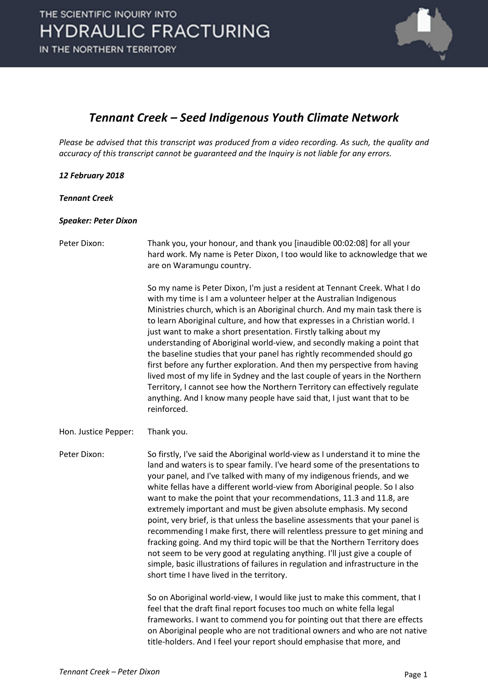

### *Tennant Creek – Seed Indigenous Youth Climate Network*

*Please be advised that this transcript was produced from a video recording. As such, the quality and accuracy of this transcript cannot be guaranteed and the Inquiry is not liable for any errors.*

#### *12 February 2018*

*Tennant Creek*

#### *Speaker: Peter Dixon*

Peter Dixon: Thank you, your honour, and thank you [inaudible 00:02:08] for all your hard work. My name is Peter Dixon, I too would like to acknowledge that we are on Waramungu country.

> So my name is Peter Dixon, I'm just a resident at Tennant Creek. What I do with my time is I am a volunteer helper at the Australian Indigenous Ministries church, which is an Aboriginal church. And my main task there is to learn Aboriginal culture, and how that expresses in a Christian world. I just want to make a short presentation. Firstly talking about my understanding of Aboriginal world-view, and secondly making a point that the baseline studies that your panel has rightly recommended should go first before any further exploration. And then my perspective from having lived most of my life in Sydney and the last couple of years in the Northern Territory, I cannot see how the Northern Territory can effectively regulate anything. And I know many people have said that, I just want that to be reinforced.

Hon. Justice Pepper: Thank you.

Peter Dixon: So firstly, I've said the Aboriginal world-view as I understand it to mine the land and waters is to spear family. I've heard some of the presentations to your panel, and I've talked with many of my indigenous friends, and we white fellas have a different world-view from Aboriginal people. So I also want to make the point that your recommendations, 11.3 and 11.8, are extremely important and must be given absolute emphasis. My second point, very brief, is that unless the baseline assessments that your panel is recommending I make first, there will relentless pressure to get mining and fracking going. And my third topic will be that the Northern Territory does not seem to be very good at regulating anything. I'll just give a couple of simple, basic illustrations of failures in regulation and infrastructure in the short time I have lived in the territory.

> So on Aboriginal world-view, I would like just to make this comment, that I feel that the draft final report focuses too much on white fella legal frameworks. I want to commend you for pointing out that there are effects on Aboriginal people who are not traditional owners and who are not native title-holders. And I feel your report should emphasise that more, and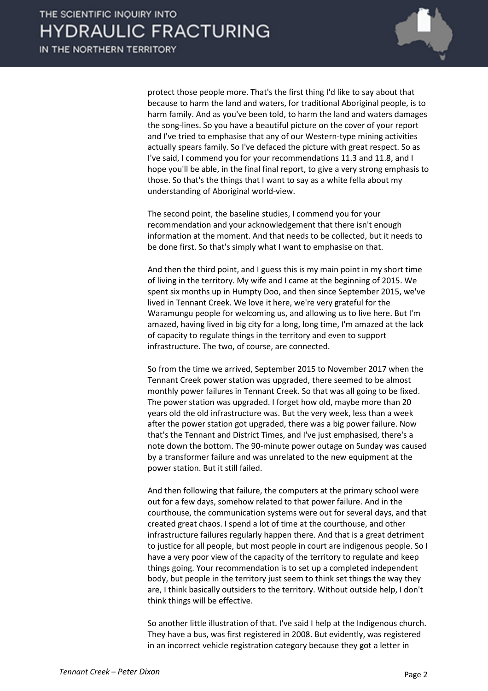

protect those people more. That's the first thing I'd like to say about that because to harm the land and waters, for traditional Aboriginal people, is to harm family. And as you've been told, to harm the land and waters damages the song-lines. So you have a beautiful picture on the cover of your report and I've tried to emphasise that any of our Western-type mining activities actually spears family. So I've defaced the picture with great respect. So as I've said, I commend you for your recommendations 11.3 and 11.8, and I hope you'll be able, in the final final report, to give a very strong emphasis to those. So that's the things that I want to say as a white fella about my understanding of Aboriginal world-view.

The second point, the baseline studies, I commend you for your recommendation and your acknowledgement that there isn't enough information at the moment. And that needs to be collected, but it needs to be done first. So that's simply what I want to emphasise on that.

And then the third point, and I guess this is my main point in my short time of living in the territory. My wife and I came at the beginning of 2015. We spent six months up in Humpty Doo, and then since September 2015, we've lived in Tennant Creek. We love it here, we're very grateful for the Waramungu people for welcoming us, and allowing us to live here. But I'm amazed, having lived in big city for a long, long time, I'm amazed at the lack of capacity to regulate things in the territory and even to support infrastructure. The two, of course, are connected.

So from the time we arrived, September 2015 to November 2017 when the Tennant Creek power station was upgraded, there seemed to be almost monthly power failures in Tennant Creek. So that was all going to be fixed. The power station was upgraded. I forget how old, maybe more than 20 years old the old infrastructure was. But the very week, less than a week after the power station got upgraded, there was a big power failure. Now that's the Tennant and District Times, and I've just emphasised, there's a note down the bottom. The 90-minute power outage on Sunday was caused by a transformer failure and was unrelated to the new equipment at the power station. But it still failed.

And then following that failure, the computers at the primary school were out for a few days, somehow related to that power failure. And in the courthouse, the communication systems were out for several days, and that created great chaos. I spend a lot of time at the courthouse, and other infrastructure failures regularly happen there. And that is a great detriment to justice for all people, but most people in court are indigenous people. So I have a very poor view of the capacity of the territory to regulate and keep things going. Your recommendation is to set up a completed independent body, but people in the territory just seem to think set things the way they are, I think basically outsiders to the territory. Without outside help, I don't think things will be effective.

So another little illustration of that. I've said I help at the Indigenous church. They have a bus, was first registered in 2008. But evidently, was registered in an incorrect vehicle registration category because they got a letter in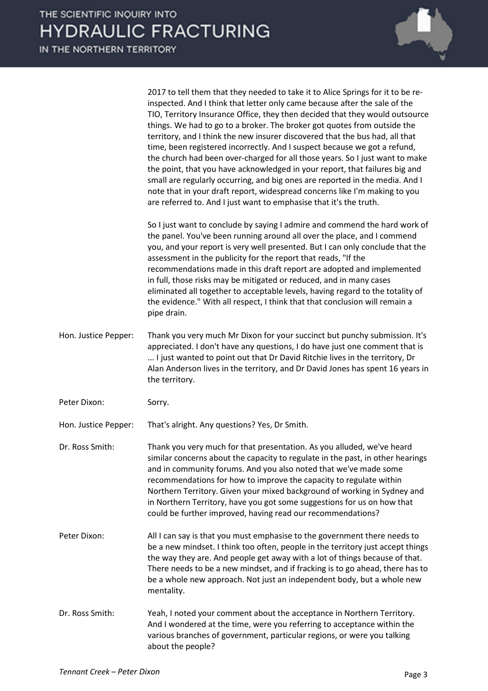|                      | 2017 to tell them that they needed to take it to Alice Springs for it to be re-<br>inspected. And I think that letter only came because after the sale of the<br>TIO, Territory Insurance Office, they then decided that they would outsource<br>things. We had to go to a broker. The broker got quotes from outside the<br>territory, and I think the new insurer discovered that the bus had, all that<br>time, been registered incorrectly. And I suspect because we got a refund,<br>the church had been over-charged for all those years. So I just want to make<br>the point, that you have acknowledged in your report, that failures big and<br>small are regularly occurring, and big ones are reported in the media. And I<br>note that in your draft report, widespread concerns like I'm making to you<br>are referred to. And I just want to emphasise that it's the truth. |
|----------------------|-------------------------------------------------------------------------------------------------------------------------------------------------------------------------------------------------------------------------------------------------------------------------------------------------------------------------------------------------------------------------------------------------------------------------------------------------------------------------------------------------------------------------------------------------------------------------------------------------------------------------------------------------------------------------------------------------------------------------------------------------------------------------------------------------------------------------------------------------------------------------------------------|
|                      | So I just want to conclude by saying I admire and commend the hard work of<br>the panel. You've been running around all over the place, and I commend<br>you, and your report is very well presented. But I can only conclude that the<br>assessment in the publicity for the report that reads, "If the<br>recommendations made in this draft report are adopted and implemented<br>in full, those risks may be mitigated or reduced, and in many cases<br>eliminated all together to acceptable levels, having regard to the totality of<br>the evidence." With all respect, I think that that conclusion will remain a<br>pipe drain.                                                                                                                                                                                                                                                  |
| Hon. Justice Pepper: | Thank you very much Mr Dixon for your succinct but punchy submission. It's<br>appreciated. I don't have any questions, I do have just one comment that is<br>I just wanted to point out that Dr David Ritchie lives in the territory, Dr<br>Alan Anderson lives in the territory, and Dr David Jones has spent 16 years in<br>the territory.                                                                                                                                                                                                                                                                                                                                                                                                                                                                                                                                              |
| Peter Dixon:         | Sorry.                                                                                                                                                                                                                                                                                                                                                                                                                                                                                                                                                                                                                                                                                                                                                                                                                                                                                    |
| Hon. Justice Pepper: | That's alright. Any questions? Yes, Dr Smith.                                                                                                                                                                                                                                                                                                                                                                                                                                                                                                                                                                                                                                                                                                                                                                                                                                             |
| Dr. Ross Smith:      | Thank you very much for that presentation. As you alluded, we've heard<br>similar concerns about the capacity to regulate in the past, in other hearings<br>and in community forums. And you also noted that we've made some<br>recommendations for how to improve the capacity to regulate within<br>Northern Territory. Given your mixed background of working in Sydney and<br>in Northern Territory, have you got some suggestions for us on how that<br>could be further improved, having read our recommendations?                                                                                                                                                                                                                                                                                                                                                                  |
| Peter Dixon:         | All I can say is that you must emphasise to the government there needs to<br>be a new mindset. I think too often, people in the territory just accept things<br>the way they are. And people get away with a lot of things because of that.<br>There needs to be a new mindset, and if fracking is to go ahead, there has to<br>be a whole new approach. Not just an independent body, but a whole new<br>mentality.                                                                                                                                                                                                                                                                                                                                                                                                                                                                      |
| Dr. Ross Smith:      | Yeah, I noted your comment about the acceptance in Northern Territory.<br>And I wondered at the time, were you referring to acceptance within the<br>various branches of government, particular regions, or were you talking<br>about the people?                                                                                                                                                                                                                                                                                                                                                                                                                                                                                                                                                                                                                                         |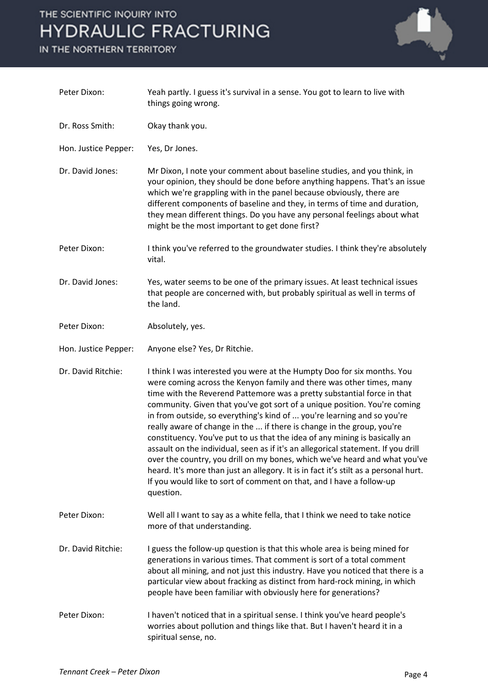## THE SCIENTIFIC INQUIRY INTO **HYDRAULIC FRACTURING**

IN THE NORTHERN TERRITORY



| Peter Dixon:         | Yeah partly. I guess it's survival in a sense. You got to learn to live with<br>things going wrong.                                                                                                                                                                                                                                                                                                                                                                                                                                                                                                                                                                                                                                                                                                                                                                                        |
|----------------------|--------------------------------------------------------------------------------------------------------------------------------------------------------------------------------------------------------------------------------------------------------------------------------------------------------------------------------------------------------------------------------------------------------------------------------------------------------------------------------------------------------------------------------------------------------------------------------------------------------------------------------------------------------------------------------------------------------------------------------------------------------------------------------------------------------------------------------------------------------------------------------------------|
| Dr. Ross Smith:      | Okay thank you.                                                                                                                                                                                                                                                                                                                                                                                                                                                                                                                                                                                                                                                                                                                                                                                                                                                                            |
| Hon. Justice Pepper: | Yes, Dr Jones.                                                                                                                                                                                                                                                                                                                                                                                                                                                                                                                                                                                                                                                                                                                                                                                                                                                                             |
| Dr. David Jones:     | Mr Dixon, I note your comment about baseline studies, and you think, in<br>your opinion, they should be done before anything happens. That's an issue<br>which we're grappling with in the panel because obviously, there are<br>different components of baseline and they, in terms of time and duration,<br>they mean different things. Do you have any personal feelings about what<br>might be the most important to get done first?                                                                                                                                                                                                                                                                                                                                                                                                                                                   |
| Peter Dixon:         | I think you've referred to the groundwater studies. I think they're absolutely<br>vital.                                                                                                                                                                                                                                                                                                                                                                                                                                                                                                                                                                                                                                                                                                                                                                                                   |
| Dr. David Jones:     | Yes, water seems to be one of the primary issues. At least technical issues<br>that people are concerned with, but probably spiritual as well in terms of<br>the land.                                                                                                                                                                                                                                                                                                                                                                                                                                                                                                                                                                                                                                                                                                                     |
| Peter Dixon:         | Absolutely, yes.                                                                                                                                                                                                                                                                                                                                                                                                                                                                                                                                                                                                                                                                                                                                                                                                                                                                           |
| Hon. Justice Pepper: | Anyone else? Yes, Dr Ritchie.                                                                                                                                                                                                                                                                                                                                                                                                                                                                                                                                                                                                                                                                                                                                                                                                                                                              |
| Dr. David Ritchie:   | I think I was interested you were at the Humpty Doo for six months. You<br>were coming across the Kenyon family and there was other times, many<br>time with the Reverend Pattemore was a pretty substantial force in that<br>community. Given that you've got sort of a unique position. You're coming<br>in from outside, so everything's kind of  you're learning and so you're<br>really aware of change in the  if there is change in the group, you're<br>constituency. You've put to us that the idea of any mining is basically an<br>assault on the individual, seen as if it's an allegorical statement. If you drill<br>over the country, you drill on my bones, which we've heard and what you've<br>heard. It's more than just an allegory. It is in fact it's stilt as a personal hurt.<br>If you would like to sort of comment on that, and I have a follow-up<br>question. |
| Peter Dixon:         | Well all I want to say as a white fella, that I think we need to take notice<br>more of that understanding.                                                                                                                                                                                                                                                                                                                                                                                                                                                                                                                                                                                                                                                                                                                                                                                |
| Dr. David Ritchie:   | I guess the follow-up question is that this whole area is being mined for<br>generations in various times. That comment is sort of a total comment<br>about all mining, and not just this industry. Have you noticed that there is a<br>particular view about fracking as distinct from hard-rock mining, in which<br>people have been familiar with obviously here for generations?                                                                                                                                                                                                                                                                                                                                                                                                                                                                                                       |
| Peter Dixon:         | I haven't noticed that in a spiritual sense. I think you've heard people's<br>worries about pollution and things like that. But I haven't heard it in a<br>spiritual sense, no.                                                                                                                                                                                                                                                                                                                                                                                                                                                                                                                                                                                                                                                                                                            |